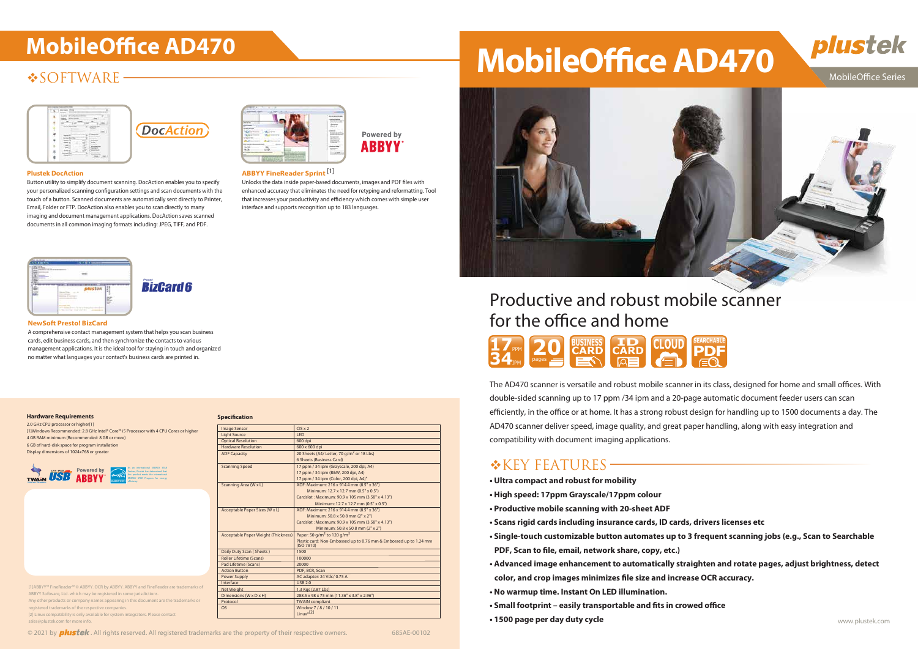# **SOFTWARE**





# Productive and robust mobile scanner for the office and home

The AD470 scanner is versatile and robust mobile scanner in its class, designed for home and small offices. With double-sided scanning up to 17 ppm /34 ipm and a 20-page automatic document feeder users can scan efficiently, in the office or at home. It has a strong robust design for handling up to 1500 documents a day. The AD470 scanner deliver speed, image quality, and great paper handling, along with easy integration and compatibility with document imaging applications.

## $K$ KEY FEATURES –

Unlocks the data inside paper-based documents, images and PDF files with enhanced accuracy that eliminates the need for retyping and reformatting. Tool that increases your productivity and efficiency which comes with simple user interface and supports recognition up to 183 languages.



**• Single-touch customizable button automates up to 3 frequent scanning jobs (e.g., Scan to Searchable**

- **Ultra compact and robust for mobility**
- **High speed: 17ppm Grayscale/17ppm colour**
- **Productive mobile scanning with 20-sheet ADF**
- **Scans rigid cards including insurance cards, ID cards, drivers licenses etc**
- **PDF, Scan to file, email, network share, copy, etc.)**
- **Advanced image enhancement to automatically straighten and rotate pages, adjust brightness, detect** color, and crop images minimizes file size and increase OCR accuracy.
- **No warmup time. Instant On LED illumination.**
- Small footprint easily transportable and fits in crowed office
- www.plustek.com  **1500 page per day duty cycle**





### MobileOffice Series



### **ABBYY FineReader Sprint** [1]

#### **NewSoft Presto! BizCard**

A comprehensive contact management system that helps you scan business cards, edit business cards, and then synchronize the contacts to various management applications. It is the ideal tool for staying in touch and organized no matter what languages your contact's business cards are printed in.

### **Plustek DocAction**

Button utility to simplify document scanning. DocAction enables you to specify your personalized scanning configuration settings and scan documents with the touch of a button. Scanned documents are automatically sent directly to Printer, Email, Folder or FTP. DocAction also enables you to scan directly to many imaging and document management applications. DocAction saves scanned documents in all common imaging formats including: JPEG, TIFF, and PDF.





| 20 | <b>CARD</b><br>___ | $\blacksquare$<br><b>CARD</b><br>$\mathsf{I}\mathsf{Q}$ $\mathsf{I}\mathsf{R}$ | <b>CLOUD</b><br>a news |
|----|--------------------|--------------------------------------------------------------------------------|------------------------|
|----|--------------------|--------------------------------------------------------------------------------|------------------------|

#### **Hardware Requirements**

2.0 GHz CPU processor or higher[1] [1]Windows Recommended: 2.8 GHz Intel® Core™ i5 Processor with 4 CPU Cores or higher 4 GB RAM minimum (Recommended: 8 GB or more) 6 GB of hard-disk space for program installation Display dimensions of 1024x768 or greater

| <b>Image Sensor</b>                        | $CIS \times 2$                                                                  |
|--------------------------------------------|---------------------------------------------------------------------------------|
| <b>Light Source</b>                        | <b>LED</b>                                                                      |
| <b>Optical Resolution</b>                  | 600 dpi                                                                         |
| <b>Hardware Resolution</b>                 | 600 x 600 dpi                                                                   |
| <b>ADF Capacity</b>                        | 20 Sheets (A4/ Letter, 70 g/m <sup>2</sup> or 18 Lbs)                           |
|                                            | 6 Sheets (Business Card)                                                        |
| <b>Scanning Speed</b>                      | 17 ppm / 34 ipm (Grayscale, 200 dpi, A4)                                        |
|                                            | 17 ppm / 34 ipm (B&W, 200 dpi, A4)                                              |
|                                            | 17 ppm / 34 ipm (Color, 200 dpi, A4)"                                           |
| Scanning Area (W x L)                      | ADF: Maximum: 216 x 914.4 mm (8.5" x 36")                                       |
|                                            | Minimum: 12.7 x 12.7 mm (0.5" x 0.5")                                           |
|                                            | Cardslot: Maximum: 90.9 x 105 mm (3.58" x 4.13")                                |
|                                            | Minimum: 12.7 x 12.7 mm (0.5" x 0.5")                                           |
| Acceptable Paper Sizes (W x L)             | ADF: Maximum: 216 x 914.4 mm (8.5" x 36")                                       |
|                                            | Minimum: 50.8 x 50.8 mm (2" x 2")                                               |
|                                            | Cardslot: Maximum: 90.9 x 105 mm (3.58" x 4.13")                                |
|                                            | Minimum: 50.8 x 50.8 mm (2" x 2")                                               |
| <b>Acceptable Paper Weight (Thickness)</b> | Paper: 50 g/m <sup>2</sup> to 120 g/m <sup>2</sup>                              |
|                                            | Plastic card: Non-Embossed up to 0.76 mm & Embossed up to 1.24 mm<br>(ISO 7810) |
| Daily Duty Scan (Sheets)                   | 1500                                                                            |
| <b>Roller Lifetime (Scans)</b>             | 100000                                                                          |
| Pad Lifetime (Scans)                       | 20000                                                                           |
| <b>Action Button</b>                       | PDF, BCR, Scan                                                                  |
| <b>Power Supply</b>                        | AC adapter: 24 Vdc/ 0.75 A                                                      |
| Interface                                  | <b>USB 2.0</b>                                                                  |
| Net Weight                                 | 1.3 Kgs (2.87 Lbs)                                                              |
| Dimensions (W x D x H)                     | 288.5 x 98 x 75 mm (11.36" x 3.8" x 2.96")                                      |
| Protocol                                   | <b>TWAIN compliant</b>                                                          |
| <b>OS</b>                                  | Window 7/8/10/11                                                                |
|                                            | $Linux*[2]$                                                                     |
|                                            |                                                                                 |

|  |  |  |  |  | © 2021 by <b>plustek</b> . All rights reserved. All registered trademarks are the property of their respective owners. | 685AE-00102 |
|--|--|--|--|--|------------------------------------------------------------------------------------------------------------------------|-------------|
|--|--|--|--|--|------------------------------------------------------------------------------------------------------------------------|-------------|

**Specification** 

# MobileOffice AD470 **MobileOffice AD470**





[1]ABBYY™ FineReader™ © ABBYY. OCR by ABBYY. ABBYY and FineReader are trademarks of ABBYY Software, Ltd. which may be registered in some jurisdictions. Any other products or company names appearing in this document are the trademarks or egistered trademarks of the respective companies. [2] Linux compatibility is only available for system integrators. Please contact

sales@plustek.com for more info.